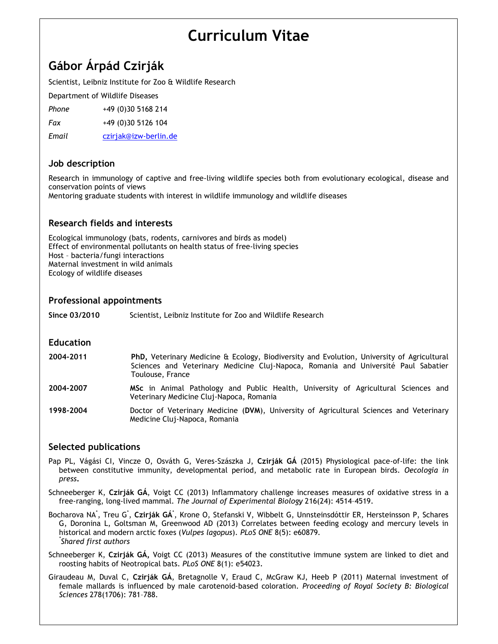# **Curriculum Vitae**

# **Gábor Árpád Czirják**

Scientist, Leibniz Institute for Zoo & Wildlife Research

Department of Wildlife Diseases

*Phone* +49 (0)30 5168 214

*Fax* +49 (0)30 5126 104

*Email* czirjak@izw-berlin.de

# **Job description**

Research in immunology of captive and free-living wildlife species both from evolutionary ecological, disease and conservation points of views

Mentoring graduate students with interest in wildlife immunology and wildlife diseases

# **Research fields and interests**

Ecological immunology (bats, rodents, carnivores and birds as model) Effect of environmental pollutants on health status of free-living species Host – bacteria/fungi interactions Maternal investment in wild animals Ecology of wildlife diseases

#### **Professional appointments**

**Since 03/2010** Scientist, Leibniz Institute for Zoo and Wildlife Research

#### **Education**

- **2004-2011 PhD,** Veterinary Medicine & Ecology, Biodiversity and Evolution, University of Agricultural Sciences and Veterinary Medicine Cluj-Napoca, Romania and Université Paul Sabatier Toulouse, France
- **2004-2007 MSc** in Animal Pathology and Public Health, University of Agricultural Sciences and Veterinary Medicine Cluj-Napoca, Romania
- **1998-2004** Doctor of Veterinary Medicine (**DVM**), University of Agricultural Sciences and Veterinary Medicine Cluj-Napoca, Romania

### **Selected publications**

Pap PL, Vágási CI, Vincze O, Osváth G, Veres-Szászka J, **Czirják GÁ** (2015) Physiological pace-of-life: the link between constitutive immunity, developmental period, and metabolic rate in European birds. *Oecologia in press***.**

Schneeberger K, **Czirják GÁ**, Voigt CC (2013) Inflammatory challenge increases measures of oxidative stress in a free-ranging, long-lived mammal. *The Journal of Experimental Biology* 216(24): 4514–4519.

Bocharova NA<sup>\*</sup>, Treu G<sup>\*</sup>, **Czirják GÁ**\*, Krone O, Stefanski V, Wibbelt G, Unnsteinsdóttir ER, Hersteinsson P, Schares G, Doronina L, Goltsman M, Greenwood AD (2013) Correlates between feeding ecology and mercury levels in historical and modern arctic foxes (*Vulpes lagopus*). *PLoS ONE* 8(5): e60879*. \* Shared first authors*

Schneeberger K, **Czirják GÁ,** Voigt CC (2013) Measures of the constitutive immune system are linked to diet and roosting habits of Neotropical bats. *PLoS ONE* 8(1): e54023*.*

Giraudeau M, Duval C, **Czirják GÁ**, Bretagnolle V, Eraud C, McGraw KJ, Heeb P (2011) Maternal investment of female mallards is influenced by male carotenoid-based coloration. *Proceeding of Royal Society B: Biological Sciences* 278(1706): 781–788.